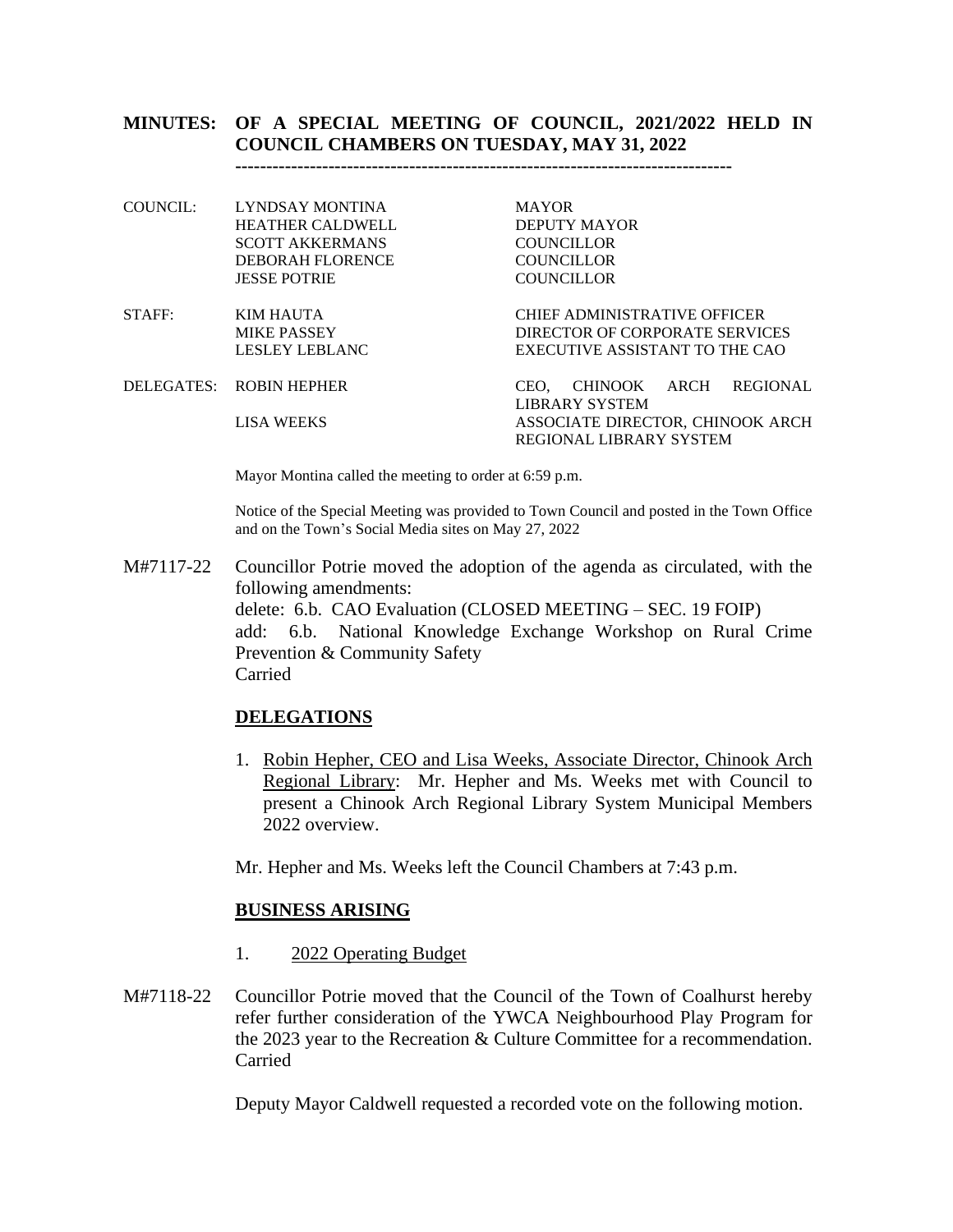## **MINUTES: OF A SPECIAL MEETING OF COUNCIL, 2021/2022 HELD IN COUNCIL CHAMBERS ON TUESDAY, MAY 31, 2022**

**--------------------------------------------------------------------------------**

| COUNCIL: | LYNDSAY MONTINA         | <b>MAYOR</b>                     |
|----------|-------------------------|----------------------------------|
|          | <b>HEATHER CALDWELL</b> | DEPUTY MAYOR                     |
|          | <b>SCOTT AKKERMANS</b>  | <b>COUNCILLOR</b>                |
|          | DEBORAH FLORENCE        | <b>COUNCILLOR</b>                |
|          | <b>JESSE POTRIE</b>     | <b>COUNCILLOR</b>                |
| STAFF:   | <b>KIM HAUTA</b>        | CHIEF ADMINISTRATIVE OFFICER     |
|          | MIKE PASSEY             | DIRECTOR OF CORPORATE SERVICES   |
|          | LESLEY LEBLANC          | EXECUTIVE ASSISTANT TO THE CAO   |
|          | DELEGATES: ROBIN HEPHER | REGIONAL<br>CEO. CHINOOK ARCH    |
|          |                         | LIBRARY SYSTEM                   |
|          | LISA WEEKS              | ASSOCIATE DIRECTOR, CHINOOK ARCH |
|          |                         | <b>REGIONAL LIBRARY SYSTEM</b>   |

Mayor Montina called the meeting to order at 6:59 p.m.

Notice of the Special Meeting was provided to Town Council and posted in the Town Office and on the Town's Social Media sites on May 27, 2022

M#7117-22 Councillor Potrie moved the adoption of the agenda as circulated, with the following amendments: delete: 6.b. CAO Evaluation (CLOSED MEETING – SEC. 19 FOIP) add: 6.b. National Knowledge Exchange Workshop on Rural Crime Prevention & Community Safety Carried

#### **DELEGATIONS**

1. Robin Hepher, CEO and Lisa Weeks, Associate Director, Chinook Arch Regional Library: Mr. Hepher and Ms. Weeks met with Council to present a Chinook Arch Regional Library System Municipal Members 2022 overview.

Mr. Hepher and Ms. Weeks left the Council Chambers at 7:43 p.m.

#### **BUSINESS ARISING**

- 1. 2022 Operating Budget
- M#7118-22 Councillor Potrie moved that the Council of the Town of Coalhurst hereby refer further consideration of the YWCA Neighbourhood Play Program for the 2023 year to the Recreation & Culture Committee for a recommendation. Carried

Deputy Mayor Caldwell requested a recorded vote on the following motion.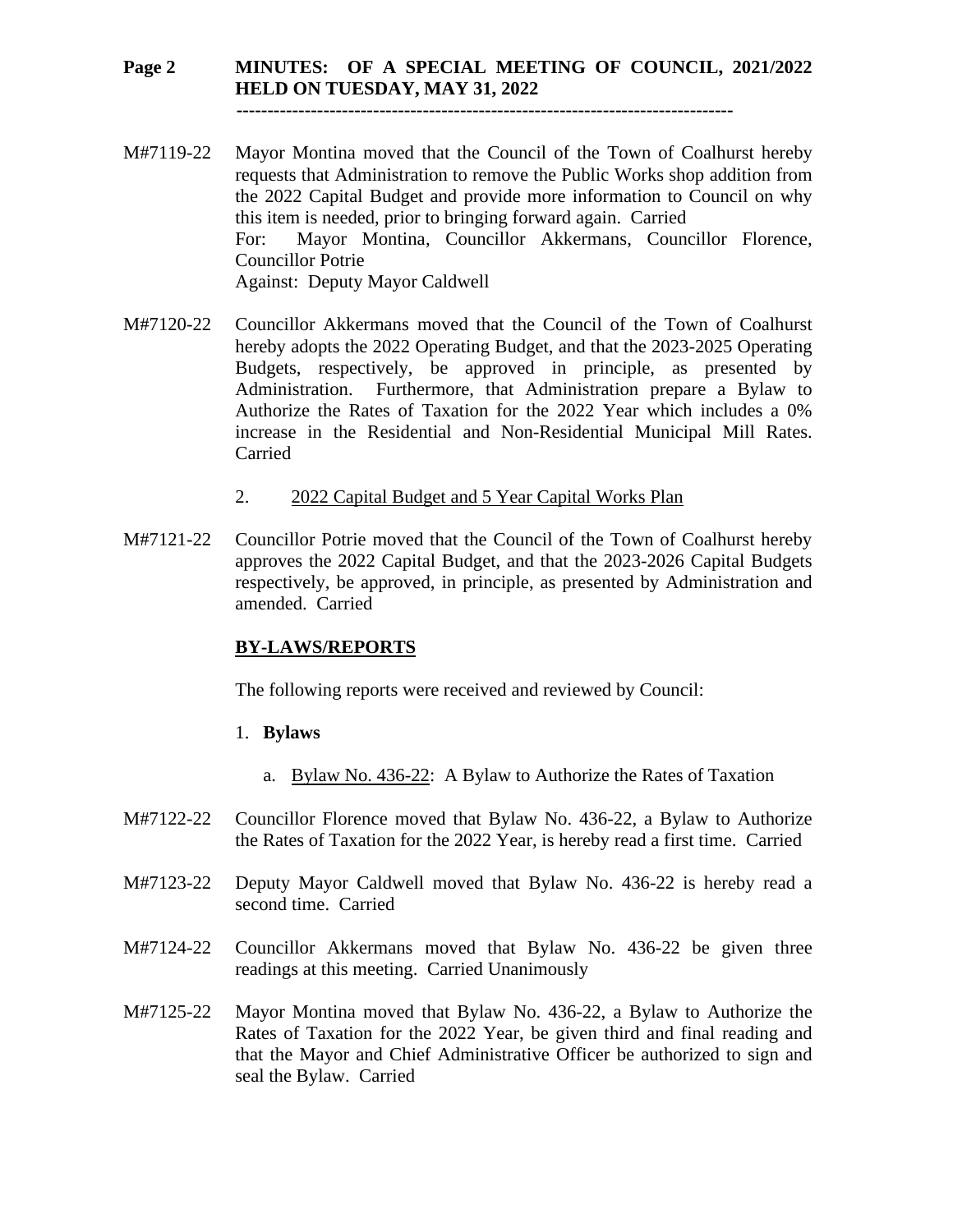## **Page 2 MINUTES: OF A SPECIAL MEETING OF COUNCIL, 2021/2022 HELD ON TUESDAY, MAY 31, 2022**

 **--------------------------------------------------------------------------------**

- M#7119-22 Mayor Montina moved that the Council of the Town of Coalhurst hereby requests that Administration to remove the Public Works shop addition from the 2022 Capital Budget and provide more information to Council on why this item is needed, prior to bringing forward again. Carried For: Mayor Montina, Councillor Akkermans, Councillor Florence, Councillor Potrie Against: Deputy Mayor Caldwell
- M#7120-22 Councillor Akkermans moved that the Council of the Town of Coalhurst hereby adopts the 2022 Operating Budget, and that the 2023-2025 Operating Budgets, respectively, be approved in principle, as presented by Administration. Furthermore, that Administration prepare a Bylaw to Authorize the Rates of Taxation for the 2022 Year which includes a 0% increase in the Residential and Non-Residential Municipal Mill Rates. Carried
	- 2. 2022 Capital Budget and 5 Year Capital Works Plan
- M#7121-22 Councillor Potrie moved that the Council of the Town of Coalhurst hereby approves the 2022 Capital Budget, and that the 2023-2026 Capital Budgets respectively, be approved, in principle, as presented by Administration and amended. Carried

### **BY-LAWS/REPORTS**

The following reports were received and reviewed by Council:

- 1. **Bylaws** 
	- a. Bylaw No. 436-22: A Bylaw to Authorize the Rates of Taxation
- M#7122-22 Councillor Florence moved that Bylaw No. 436-22, a Bylaw to Authorize the Rates of Taxation for the 2022 Year, is hereby read a first time. Carried
- M#7123-22 Deputy Mayor Caldwell moved that Bylaw No. 436-22 is hereby read a second time. Carried
- M#7124-22 Councillor Akkermans moved that Bylaw No. 436-22 be given three readings at this meeting. Carried Unanimously
- M#7125-22 Mayor Montina moved that Bylaw No. 436-22, a Bylaw to Authorize the Rates of Taxation for the 2022 Year, be given third and final reading and that the Mayor and Chief Administrative Officer be authorized to sign and seal the Bylaw. Carried